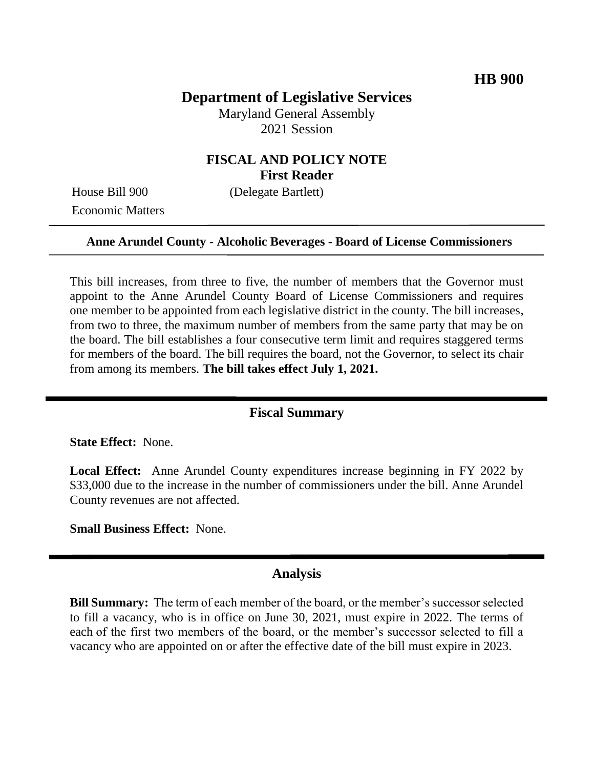# **Department of Legislative Services**

Maryland General Assembly 2021 Session

# **FISCAL AND POLICY NOTE First Reader**

Economic Matters

House Bill 900 (Delegate Bartlett)

### **Anne Arundel County - Alcoholic Beverages - Board of License Commissioners**

This bill increases, from three to five, the number of members that the Governor must appoint to the Anne Arundel County Board of License Commissioners and requires one member to be appointed from each legislative district in the county. The bill increases, from two to three, the maximum number of members from the same party that may be on the board. The bill establishes a four consecutive term limit and requires staggered terms for members of the board. The bill requires the board, not the Governor, to select its chair from among its members. **The bill takes effect July 1, 2021.**

### **Fiscal Summary**

**State Effect:** None.

**Local Effect:** Anne Arundel County expenditures increase beginning in FY 2022 by \$33,000 due to the increase in the number of commissioners under the bill. Anne Arundel County revenues are not affected.

**Small Business Effect:** None.

#### **Analysis**

**Bill Summary:** The term of each member of the board, or the member's successor selected to fill a vacancy, who is in office on June 30, 2021, must expire in 2022. The terms of each of the first two members of the board, or the member's successor selected to fill a vacancy who are appointed on or after the effective date of the bill must expire in 2023.